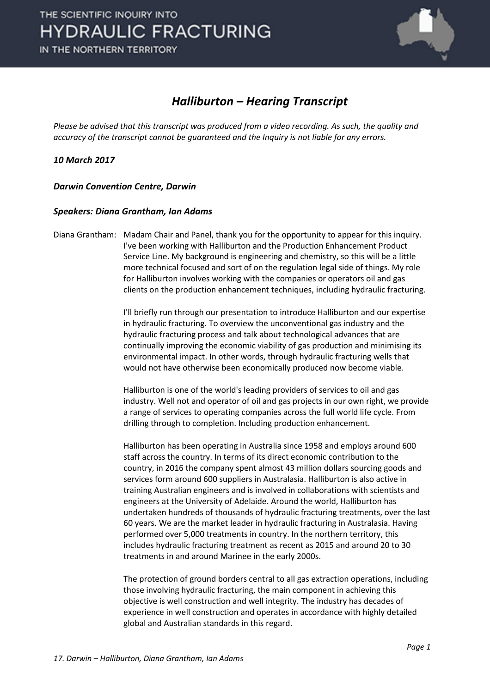

## *Halliburton – Hearing Transcript*

*Please be advised that this transcript was produced from a video recording. As such, the quality and accuracy of the transcript cannot be guaranteed and the Inquiry is not liable for any errors.*

*10 March 2017* 

*Darwin Convention Centre, Darwin* 

#### *Speakers: Diana Grantham, Ian Adams*

Diana Grantham: Madam Chair and Panel, thank you for the opportunity to appear for this inquiry. I've been working with Halliburton and the Production Enhancement Product Service Line. My background is engineering and chemistry, so this will be a little more technical focused and sort of on the regulation legal side of things. My role for Halliburton involves working with the companies or operators oil and gas clients on the production enhancement techniques, including hydraulic fracturing.

> I'll briefly run through our presentation to introduce Halliburton and our expertise in hydraulic fracturing. To overview the unconventional gas industry and the hydraulic fracturing process and talk about technological advances that are continually improving the economic viability of gas production and minimising its environmental impact. In other words, through hydraulic fracturing wells that would not have otherwise been economically produced now become viable.

Halliburton is one of the world's leading providers of services to oil and gas industry. Well not and operator of oil and gas projects in our own right, we provide a range of services to operating companies across the full world life cycle. From drilling through to completion. Including production enhancement.

Halliburton has been operating in Australia since 1958 and employs around 600 staff across the country. In terms of its direct economic contribution to the country, in 2016 the company spent almost 43 million dollars sourcing goods and services form around 600 suppliers in Australasia. Halliburton is also active in training Australian engineers and is involved in collaborations with scientists and engineers at the University of Adelaide. Around the world, Halliburton has undertaken hundreds of thousands of hydraulic fracturing treatments, over the last 60 years. We are the market leader in hydraulic fracturing in Australasia. Having performed over 5,000 treatments in country. In the northern territory, this includes hydraulic fracturing treatment as recent as 2015 and around 20 to 30 treatments in and around Marinee in the early 2000s.

The protection of ground borders central to all gas extraction operations, including those involving hydraulic fracturing, the main component in achieving this objective is well construction and well integrity. The industry has decades of experience in well construction and operates in accordance with highly detailed global and Australian standards in this regard.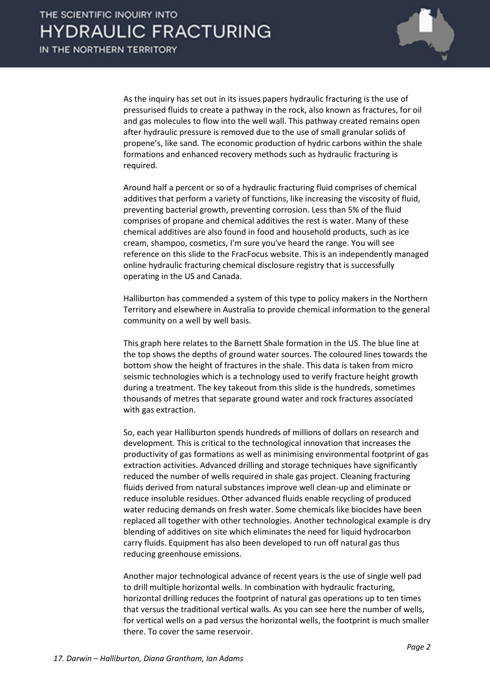

As the inquiry has set out in its issues papers hydraulic fracturing is the use of pressurised fluids to create a pathway in the rock, also known as fractures, for oil and gas molecules to flow into the well wall. This pathway created remains open after hydraulic pressure is removed due to the use of small granular solids of propene's, like sand. The economic production of hydric carbons within the shale formations and enhanced recovery methods such as hydraulic fracturing is required.

Around half a percent or so of a hydraulic fracturing fluid comprises of chemical additives that perform a variety of functions, like increasing the viscosity of fluid, preventing bacterial growth, preventing corrosion. Less than 5% of the fluid comprises of propane and chemical additives the rest is water. Many of these chemical additives are also found in food and household products, such as ice cream, shampoo, cosmetics, I'm sure you've heard the range. You will see reference on this slide to the FracFocus website. This is an independently managed online hydraulic fracturing chemical disclosure registry that is successfully operating in the US and Canada.

Halliburton has commended a system of this type to policy makers in the Northern Territory and elsewhere in Australia to provide chemical information to the general community on a well by well basis.

This graph here relates to the Barnett Shale formation in the US. The blue line at the top shows the depths of ground water sources. The coloured lines towards the bottom show the height of fractures in the shale. This data is taken from micro seismic technologies which is a technology used to verify fracture height growth during a treatment. The key takeout from this slide is the hundreds, sometimes thousands of metres that separate ground water and rock fractures associated with gas extraction.

So, each year Halliburton spends hundreds of millions of dollars on research and development. This is critical to the technological innovation that increases the productivity of gas formations as well as minimising environmental footprint of gas extraction activities. Advanced drilling and storage techniques have significantly reduced the number of wells required in shale gas project. Cleaning fracturing fluids derived from natural substances improve well clean-up and eliminate or reduce insoluble residues. Other advanced fluids enable recycling of produced water reducing demands on fresh water. Some chemicals like biocides have been replaced all together with other technologies. Another technological example is dry blending of additives on site which eliminates the need for liquid hydrocarbon carry fluids. Equipment has also been developed to run off natural gas thus reducing greenhouse emissions.

Another major technological advance of recent years is the use of single well pad to drill multiple horizontal wells. In combination with hydraulic fracturing, horizontal drilling reduces the footprint of natural gas operations up to ten times that versus the traditional vertical walls. As you can see here the number of wells, for vertical wells on a pad versus the horizontal wells, the footprint is much smaller there. To cover the same reservoir.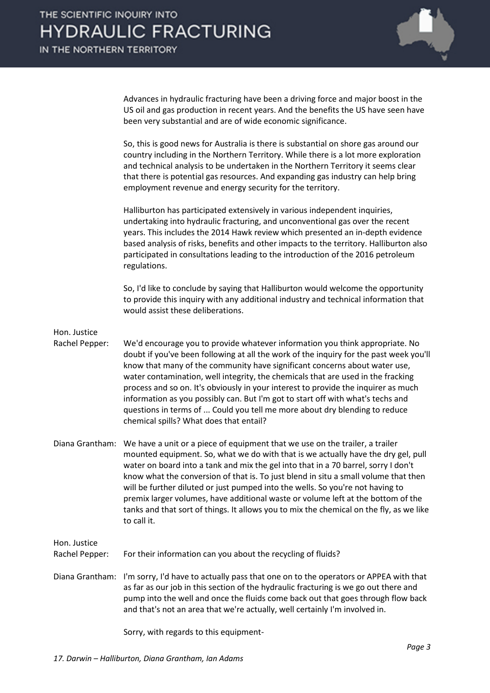

Advances in hydraulic fracturing have been a driving force and major boost in the US oil and gas production in recent years. And the benefits the US have seen have been very substantial and are of wide economic significance.

So, this is good news for Australia is there is substantial on shore gas around our country including in the Northern Territory. While there is a lot more exploration and technical analysis to be undertaken in the Northern Territory it seems clear that there is potential gas resources. And expanding gas industry can help bring employment revenue and energy security for the territory.

Halliburton has participated extensively in various independent inquiries, undertaking into hydraulic fracturing, and unconventional gas over the recent years. This includes the 2014 Hawk review which presented an in-depth evidence based analysis of risks, benefits and other impacts to the territory. Halliburton also participated in consultations leading to the introduction of the 2016 petroleum regulations.

So, I'd like to conclude by saying that Halliburton would welcome the opportunity to provide this inquiry with any additional industry and technical information that would assist these deliberations.

### Hon. Justice

Rachel Pepper: We'd encourage you to provide whatever information you think appropriate. No doubt if you've been following at all the work of the inquiry for the past week you'll know that many of the community have significant concerns about water use, water contamination, well integrity, the chemicals that are used in the fracking process and so on. It's obviously in your interest to provide the inquirer as much information as you possibly can. But I'm got to start off with what's techs and questions in terms of ... Could you tell me more about dry blending to reduce chemical spills? What does that entail?

Diana Grantham: We have a unit or a piece of equipment that we use on the trailer, a trailer mounted equipment. So, what we do with that is we actually have the dry gel, pull water on board into a tank and mix the gel into that in a 70 barrel, sorry I don't know what the conversion of that is. To just blend in situ a small volume that then will be further diluted or just pumped into the wells. So you're not having to premix larger volumes, have additional waste or volume left at the bottom of the tanks and that sort of things. It allows you to mix the chemical on the fly, as we like to call it.

Hon. Justice

Rachel Pepper: For their information can you about the recycling of fluids?

Diana Grantham: I'm sorry, I'd have to actually pass that one on to the operators or APPEA with that as far as our job in this section of the hydraulic fracturing is we go out there and pump into the well and once the fluids come back out that goes through flow back and that's not an area that we're actually, well certainly I'm involved in.

Sorry, with regards to this equipment-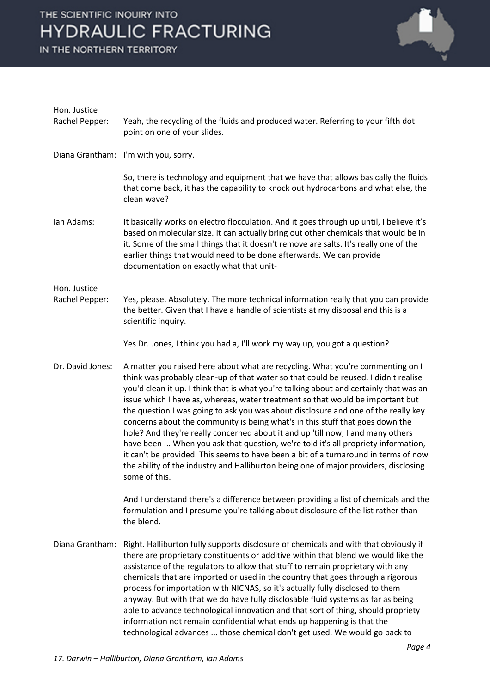IN THE NORTHERN TERRITORY



| Hon. Justice                   |                                                                                                                                                                                                                                                                                                                                                                                                                                                                                                                                                                                                                                                                                                                                                                                                                                                                                                  |
|--------------------------------|--------------------------------------------------------------------------------------------------------------------------------------------------------------------------------------------------------------------------------------------------------------------------------------------------------------------------------------------------------------------------------------------------------------------------------------------------------------------------------------------------------------------------------------------------------------------------------------------------------------------------------------------------------------------------------------------------------------------------------------------------------------------------------------------------------------------------------------------------------------------------------------------------|
| Rachel Pepper:                 | Yeah, the recycling of the fluids and produced water. Referring to your fifth dot<br>point on one of your slides.                                                                                                                                                                                                                                                                                                                                                                                                                                                                                                                                                                                                                                                                                                                                                                                |
|                                | Diana Grantham: I'm with you, sorry.                                                                                                                                                                                                                                                                                                                                                                                                                                                                                                                                                                                                                                                                                                                                                                                                                                                             |
|                                | So, there is technology and equipment that we have that allows basically the fluids<br>that come back, it has the capability to knock out hydrocarbons and what else, the<br>clean wave?                                                                                                                                                                                                                                                                                                                                                                                                                                                                                                                                                                                                                                                                                                         |
| Ian Adams:                     | It basically works on electro flocculation. And it goes through up until, I believe it's<br>based on molecular size. It can actually bring out other chemicals that would be in<br>it. Some of the small things that it doesn't remove are salts. It's really one of the<br>earlier things that would need to be done afterwards. We can provide<br>documentation on exactly what that unit-                                                                                                                                                                                                                                                                                                                                                                                                                                                                                                     |
| Hon. Justice<br>Rachel Pepper: | Yes, please. Absolutely. The more technical information really that you can provide<br>the better. Given that I have a handle of scientists at my disposal and this is a<br>scientific inquiry.                                                                                                                                                                                                                                                                                                                                                                                                                                                                                                                                                                                                                                                                                                  |
|                                | Yes Dr. Jones, I think you had a, I'll work my way up, you got a question?                                                                                                                                                                                                                                                                                                                                                                                                                                                                                                                                                                                                                                                                                                                                                                                                                       |
| Dr. David Jones:               | A matter you raised here about what are recycling. What you're commenting on I<br>think was probably clean-up of that water so that could be reused. I didn't realise<br>you'd clean it up. I think that is what you're talking about and certainly that was an<br>issue which I have as, whereas, water treatment so that would be important but<br>the question I was going to ask you was about disclosure and one of the really key<br>concerns about the community is being what's in this stuff that goes down the<br>hole? And they're really concerned about it and up 'till now, I and many others<br>have been  When you ask that question, we're told it's all propriety information,<br>it can't be provided. This seems to have been a bit of a turnaround in terms of now<br>the ability of the industry and Halliburton being one of major providers, disclosing<br>some of this. |
|                                | And I understand there's a difference between providing a list of chemicals and the<br>formulation and I presume you're talking about disclosure of the list rather than<br>the blend.                                                                                                                                                                                                                                                                                                                                                                                                                                                                                                                                                                                                                                                                                                           |
| Diana Grantham:                | Right. Halliburton fully supports disclosure of chemicals and with that obviously if<br>there are proprietary constituents or additive within that blend we would like the<br>assistance of the regulators to allow that stuff to remain proprietary with any<br>chemicals that are imported or used in the country that goes through a rigorous<br>process for importation with NICNAS, so it's actually fully disclosed to them<br>anyway. But with that we do have fully disclosable fluid systems as far as being<br>able to advance technological innovation and that sort of thing, should propriety<br>information not remain confidential what ends up happening is that the<br>technological advances  those chemical don't get used. We would go back to                                                                                                                               |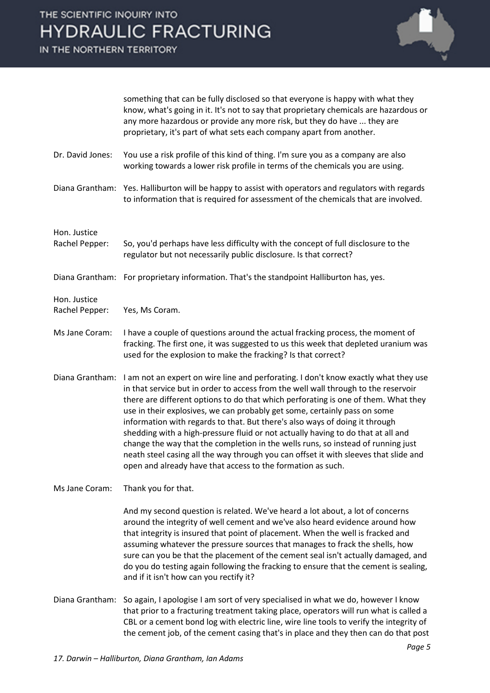

|                                | something that can be fully disclosed so that everyone is happy with what they<br>know, what's going in it. It's not to say that proprietary chemicals are hazardous or<br>any more hazardous or provide any more risk, but they do have  they are<br>proprietary, it's part of what sets each company apart from another.                                                                                                                                                                                                                                                                                                                                                                                                                                 |
|--------------------------------|------------------------------------------------------------------------------------------------------------------------------------------------------------------------------------------------------------------------------------------------------------------------------------------------------------------------------------------------------------------------------------------------------------------------------------------------------------------------------------------------------------------------------------------------------------------------------------------------------------------------------------------------------------------------------------------------------------------------------------------------------------|
| Dr. David Jones:               | You use a risk profile of this kind of thing. I'm sure you as a company are also<br>working towards a lower risk profile in terms of the chemicals you are using.                                                                                                                                                                                                                                                                                                                                                                                                                                                                                                                                                                                          |
|                                | Diana Grantham: Yes. Halliburton will be happy to assist with operators and regulators with regards<br>to information that is required for assessment of the chemicals that are involved.                                                                                                                                                                                                                                                                                                                                                                                                                                                                                                                                                                  |
| Hon. Justice                   |                                                                                                                                                                                                                                                                                                                                                                                                                                                                                                                                                                                                                                                                                                                                                            |
| Rachel Pepper:                 | So, you'd perhaps have less difficulty with the concept of full disclosure to the<br>regulator but not necessarily public disclosure. Is that correct?                                                                                                                                                                                                                                                                                                                                                                                                                                                                                                                                                                                                     |
|                                | Diana Grantham: For proprietary information. That's the standpoint Halliburton has, yes.                                                                                                                                                                                                                                                                                                                                                                                                                                                                                                                                                                                                                                                                   |
| Hon. Justice<br>Rachel Pepper: | Yes, Ms Coram.                                                                                                                                                                                                                                                                                                                                                                                                                                                                                                                                                                                                                                                                                                                                             |
| Ms Jane Coram:                 | I have a couple of questions around the actual fracking process, the moment of<br>fracking. The first one, it was suggested to us this week that depleted uranium was<br>used for the explosion to make the fracking? Is that correct?                                                                                                                                                                                                                                                                                                                                                                                                                                                                                                                     |
| Diana Grantham:                | I am not an expert on wire line and perforating. I don't know exactly what they use<br>in that service but in order to access from the well wall through to the reservoir<br>there are different options to do that which perforating is one of them. What they<br>use in their explosives, we can probably get some, certainly pass on some<br>information with regards to that. But there's also ways of doing it through<br>shedding with a high-pressure fluid or not actually having to do that at all and<br>change the way that the completion in the wells runs, so instead of running just<br>neath steel casing all the way through you can offset it with sleeves that slide and<br>open and already have that access to the formation as such. |
| Ms Jane Coram:                 | Thank you for that.                                                                                                                                                                                                                                                                                                                                                                                                                                                                                                                                                                                                                                                                                                                                        |
|                                | And my second question is related. We've heard a lot about, a lot of concerns<br>around the integrity of well cement and we've also heard evidence around how<br>that integrity is insured that point of placement. When the well is fracked and<br>assuming whatever the pressure sources that manages to frack the shells, how<br>sure can you be that the placement of the cement seal isn't actually damaged, and<br>do you do testing again following the fracking to ensure that the cement is sealing,<br>and if it isn't how can you rectify it?                                                                                                                                                                                                   |
| Diana Grantham:                | So again, I apologise I am sort of very specialised in what we do, however I know<br>that prior to a fracturing treatment taking place, operators will run what is called a<br>CBL or a cement bond log with electric line, wire line tools to verify the integrity of                                                                                                                                                                                                                                                                                                                                                                                                                                                                                     |

the cement job, of the cement casing that's in place and they then can do that post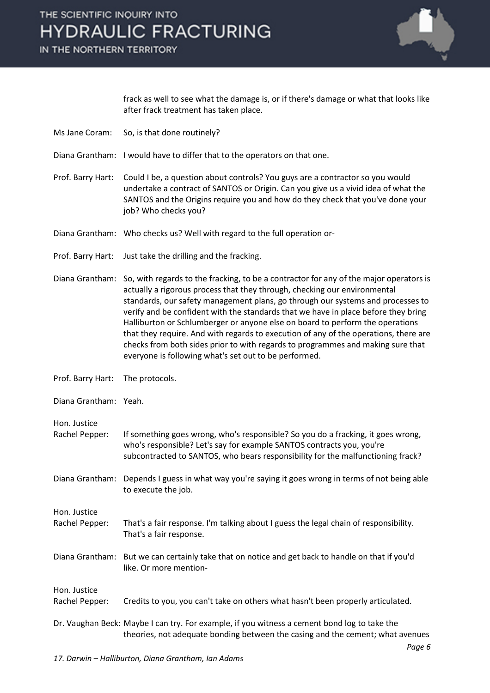### IN THE NORTHERN TERRITORY



frack as well to see what the damage is, or if there's damage or what that looks like after frack treatment has taken place.

- Ms Jane Coram: So, is that done routinely?
- Diana Grantham: I would have to differ that to the operators on that one.
- Prof. Barry Hart: Could I be, a question about controls? You guys are a contractor so you would undertake a contract of SANTOS or Origin. Can you give us a vivid idea of what the SANTOS and the Origins require you and how do they check that you've done your job? Who checks you?
- Diana Grantham: Who checks us? Well with regard to the full operation or-
- Prof. Barry Hart: Just take the drilling and the fracking.
- Diana Grantham: So, with regards to the fracking, to be a contractor for any of the major operators is actually a rigorous process that they through, checking our environmental standards, our safety management plans, go through our systems and processes to verify and be confident with the standards that we have in place before they bring Halliburton or Schlumberger or anyone else on board to perform the operations that they require. And with regards to execution of any of the operations, there are checks from both sides prior to with regards to programmes and making sure that everyone is following what's set out to be performed.
- Prof. Barry Hart: The protocols.
- Diana Grantham: Yeah.
- 
- Hon. Justice
- Rachel Pepper: If something goes wrong, who's responsible? So you do a fracking, it goes wrong, who's responsible? Let's say for example SANTOS contracts you, you're subcontracted to SANTOS, who bears responsibility for the malfunctioning frack?
- Diana Grantham: Depends I guess in what way you're saying it goes wrong in terms of not being able to execute the job.

Hon. Justice

- Rachel Pepper: That's a fair response. I'm talking about I guess the legal chain of responsibility. That's a fair response.
- Diana Grantham: But we can certainly take that on notice and get back to handle on that if you'd like. Or more mention-

Hon. Justice Rachel Pepper: Credits to you, you can't take on others what hasn't been properly articulated.

Dr. Vaughan Beck: Maybe I can try. For example, if you witness a cement bond log to take the theories, not adequate bonding between the casing and the cement; what avenues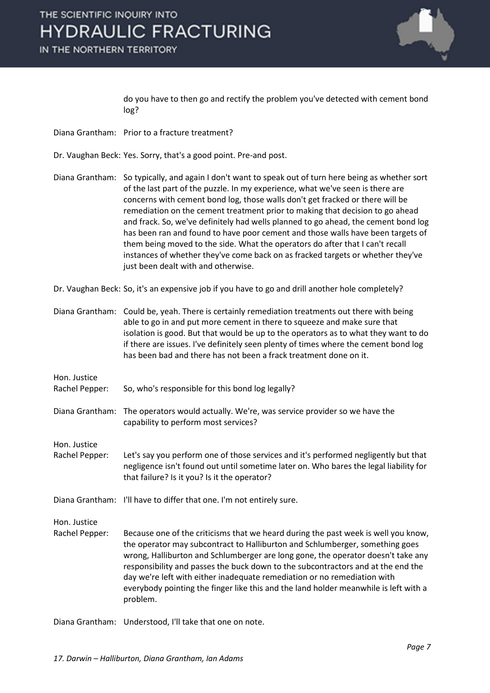IN THE NORTHERN TERRITORY



do you have to then go and rectify the problem you've detected with cement bond log?

- Diana Grantham: Prior to a fracture treatment?
- Dr. Vaughan Beck: Yes. Sorry, that's a good point. Pre-and post.
- Diana Grantham: So typically, and again I don't want to speak out of turn here being as whether sort of the last part of the puzzle. In my experience, what we've seen is there are concerns with cement bond log, those walls don't get fracked or there will be remediation on the cement treatment prior to making that decision to go ahead and frack. So, we've definitely had wells planned to go ahead, the cement bond log has been ran and found to have poor cement and those walls have been targets of them being moved to the side. What the operators do after that I can't recall instances of whether they've come back on as fracked targets or whether they've just been dealt with and otherwise.

Dr. Vaughan Beck: So, it's an expensive job if you have to go and drill another hole completely?

| Diana Grantham: Could be, yeah. There is certainly remediation treatments out there with being<br>able to go in and put more cement in there to squeeze and make sure that<br>isolation is good. But that would be up to the operators as to what they want to do<br>if there are issues. I've definitely seen plenty of times where the cement bond log<br>has been bad and there has not been a frack treatment done on it.                                                                                              |
|----------------------------------------------------------------------------------------------------------------------------------------------------------------------------------------------------------------------------------------------------------------------------------------------------------------------------------------------------------------------------------------------------------------------------------------------------------------------------------------------------------------------------|
|                                                                                                                                                                                                                                                                                                                                                                                                                                                                                                                            |
| So, who's responsible for this bond log legally?                                                                                                                                                                                                                                                                                                                                                                                                                                                                           |
| The operators would actually. We're, was service provider so we have the<br>capability to perform most services?                                                                                                                                                                                                                                                                                                                                                                                                           |
|                                                                                                                                                                                                                                                                                                                                                                                                                                                                                                                            |
| Let's say you perform one of those services and it's performed negligently but that<br>negligence isn't found out until sometime later on. Who bares the legal liability for<br>that failure? Is it you? Is it the operator?                                                                                                                                                                                                                                                                                               |
| Diana Grantham: I'll have to differ that one. I'm not entirely sure.                                                                                                                                                                                                                                                                                                                                                                                                                                                       |
|                                                                                                                                                                                                                                                                                                                                                                                                                                                                                                                            |
| Because one of the criticisms that we heard during the past week is well you know,<br>the operator may subcontract to Halliburton and Schlumberger, something goes<br>wrong, Halliburton and Schlumberger are long gone, the operator doesn't take any<br>responsibility and passes the buck down to the subcontractors and at the end the<br>day we're left with either inadequate remediation or no remediation with<br>everybody pointing the finger like this and the land holder meanwhile is left with a<br>problem. |
|                                                                                                                                                                                                                                                                                                                                                                                                                                                                                                                            |

Diana Grantham: Understood, I'll take that one on note.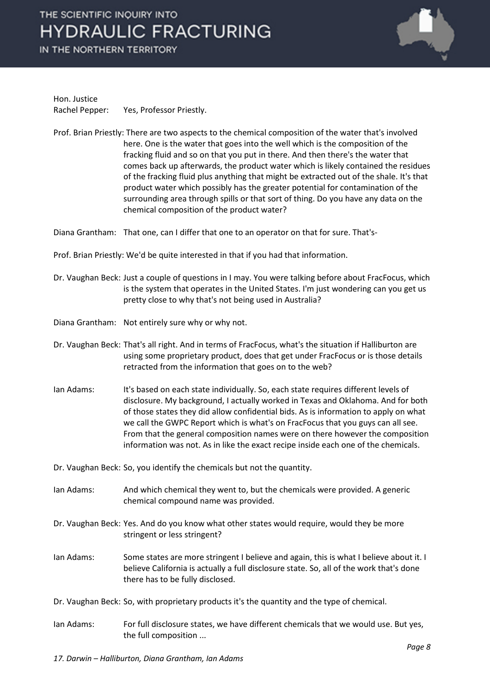IN THE NORTHERN TERRITORY



Hon. Justice Rachel Pepper: Yes, Professor Priestly.

Prof. Brian Priestly: There are two aspects to the chemical composition of the water that's involved here. One is the water that goes into the well which is the composition of the fracking fluid and so on that you put in there. And then there's the water that comes back up afterwards, the product water which is likely contained the residues of the fracking fluid plus anything that might be extracted out of the shale. It's that product water which possibly has the greater potential for contamination of the surrounding area through spills or that sort of thing. Do you have any data on the chemical composition of the product water?

Diana Grantham: That one, can I differ that one to an operator on that for sure. That's-

Prof. Brian Priestly: We'd be quite interested in that if you had that information.

- Dr. Vaughan Beck: Just a couple of questions in I may. You were talking before about FracFocus, which is the system that operates in the United States. I'm just wondering can you get us pretty close to why that's not being used in Australia?
- Diana Grantham: Not entirely sure why or why not.
- Dr. Vaughan Beck: That's all right. And in terms of FracFocus, what's the situation if Halliburton are using some proprietary product, does that get under FracFocus or is those details retracted from the information that goes on to the web?
- Ian Adams: It's based on each state individually. So, each state requires different levels of disclosure. My background, I actually worked in Texas and Oklahoma. And for both of those states they did allow confidential bids. As is information to apply on what we call the GWPC Report which is what's on FracFocus that you guys can all see. From that the general composition names were on there however the composition information was not. As in like the exact recipe inside each one of the chemicals.

Dr. Vaughan Beck: So, you identify the chemicals but not the quantity.

- Ian Adams: And which chemical they went to, but the chemicals were provided. A generic chemical compound name was provided.
- Dr. Vaughan Beck: Yes. And do you know what other states would require, would they be more stringent or less stringent?
- Ian Adams: Some states are more stringent I believe and again, this is what I believe about it. I believe California is actually a full disclosure state. So, all of the work that's done there has to be fully disclosed.
- Dr. Vaughan Beck: So, with proprietary products it's the quantity and the type of chemical.
- Ian Adams: For full disclosure states, we have different chemicals that we would use. But yes, the full composition ...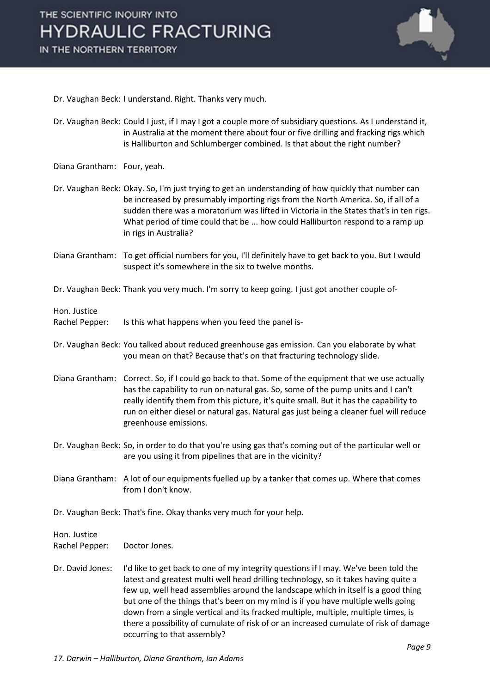

- Dr. Vaughan Beck: I understand. Right. Thanks very much.
- Dr. Vaughan Beck: Could I just, if I may I got a couple more of subsidiary questions. As I understand it, in Australia at the moment there about four or five drilling and fracking rigs which is Halliburton and Schlumberger combined. Is that about the right number?
- Diana Grantham: Four, yeah.
- Dr. Vaughan Beck: Okay. So, I'm just trying to get an understanding of how quickly that number can be increased by presumably importing rigs from the North America. So, if all of a sudden there was a moratorium was lifted in Victoria in the States that's in ten rigs. What period of time could that be ... how could Halliburton respond to a ramp up in rigs in Australia?
- Diana Grantham: To get official numbers for you, I'll definitely have to get back to you. But I would suspect it's somewhere in the six to twelve months.
- Dr. Vaughan Beck: Thank you very much. I'm sorry to keep going. I just got another couple of-

Hon. Justice

Rachel Pepper: Is this what happens when you feed the panel is-

- Dr. Vaughan Beck: You talked about reduced greenhouse gas emission. Can you elaborate by what you mean on that? Because that's on that fracturing technology slide.
- Diana Grantham: Correct. So, if I could go back to that. Some of the equipment that we use actually has the capability to run on natural gas. So, some of the pump units and I can't really identify them from this picture, it's quite small. But it has the capability to run on either diesel or natural gas. Natural gas just being a cleaner fuel will reduce greenhouse emissions.
- Dr. Vaughan Beck: So, in order to do that you're using gas that's coming out of the particular well or are you using it from pipelines that are in the vicinity?
- Diana Grantham: A lot of our equipments fuelled up by a tanker that comes up. Where that comes from I don't know.
- Dr. Vaughan Beck: That's fine. Okay thanks very much for your help.

Hon. Justice

Rachel Pepper: Doctor Jones.

Dr. David Jones: I'd like to get back to one of my integrity questions if I may. We've been told the latest and greatest multi well head drilling technology, so it takes having quite a few up, well head assemblies around the landscape which in itself is a good thing but one of the things that's been on my mind is if you have multiple wells going down from a single vertical and its fracked multiple, multiple, multiple times, is there a possibility of cumulate of risk of or an increased cumulate of risk of damage occurring to that assembly?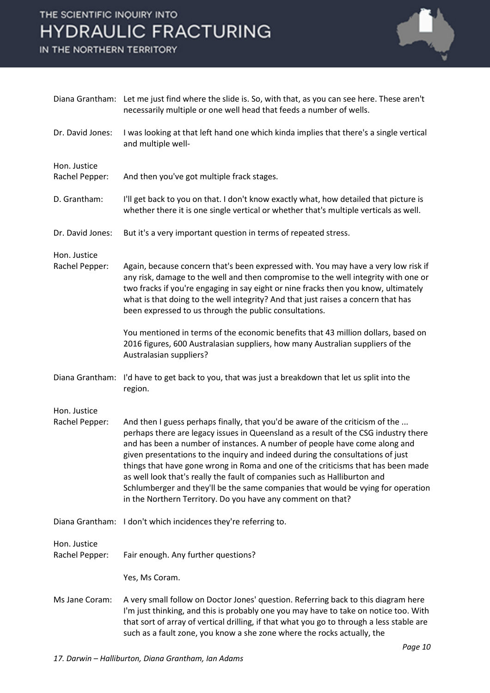IN THE NORTHERN TERRITORY



|                                | Diana Grantham: Let me just find where the slide is. So, with that, as you can see here. These aren't<br>necessarily multiple or one well head that feeds a number of wells.                                                                                                                                                                                                                                                                                                                                                                                                                                                                             |
|--------------------------------|----------------------------------------------------------------------------------------------------------------------------------------------------------------------------------------------------------------------------------------------------------------------------------------------------------------------------------------------------------------------------------------------------------------------------------------------------------------------------------------------------------------------------------------------------------------------------------------------------------------------------------------------------------|
| Dr. David Jones:               | I was looking at that left hand one which kinda implies that there's a single vertical<br>and multiple well-                                                                                                                                                                                                                                                                                                                                                                                                                                                                                                                                             |
| Hon. Justice<br>Rachel Pepper: | And then you've got multiple frack stages.                                                                                                                                                                                                                                                                                                                                                                                                                                                                                                                                                                                                               |
| D. Grantham:                   | I'll get back to you on that. I don't know exactly what, how detailed that picture is<br>whether there it is one single vertical or whether that's multiple verticals as well.                                                                                                                                                                                                                                                                                                                                                                                                                                                                           |
| Dr. David Jones:               | But it's a very important question in terms of repeated stress.                                                                                                                                                                                                                                                                                                                                                                                                                                                                                                                                                                                          |
| Hon. Justice<br>Rachel Pepper: | Again, because concern that's been expressed with. You may have a very low risk if<br>any risk, damage to the well and then compromise to the well integrity with one or<br>two fracks if you're engaging in say eight or nine fracks then you know, ultimately<br>what is that doing to the well integrity? And that just raises a concern that has<br>been expressed to us through the public consultations.                                                                                                                                                                                                                                           |
|                                | You mentioned in terms of the economic benefits that 43 million dollars, based on<br>2016 figures, 600 Australasian suppliers, how many Australian suppliers of the<br>Australasian suppliers?                                                                                                                                                                                                                                                                                                                                                                                                                                                           |
| Diana Grantham:                | I'd have to get back to you, that was just a breakdown that let us split into the<br>region.                                                                                                                                                                                                                                                                                                                                                                                                                                                                                                                                                             |
| Hon. Justice<br>Rachel Pepper: | And then I guess perhaps finally, that you'd be aware of the criticism of the<br>perhaps there are legacy issues in Queensland as a result of the CSG industry there<br>and has been a number of instances. A number of people have come along and<br>given presentations to the inquiry and indeed during the consultations of just<br>things that have gone wrong in Roma and one of the criticisms that has been made<br>as well look that's really the fault of companies such as Halliburton and<br>Schlumberger and they'll be the same companies that would be vying for operation<br>in the Northern Territory. Do you have any comment on that? |
|                                | Diana Grantham: I don't which incidences they're referring to.                                                                                                                                                                                                                                                                                                                                                                                                                                                                                                                                                                                           |
| Hon. Justice<br>Rachel Pepper: | Fair enough. Any further questions?                                                                                                                                                                                                                                                                                                                                                                                                                                                                                                                                                                                                                      |
|                                | Yes, Ms Coram.                                                                                                                                                                                                                                                                                                                                                                                                                                                                                                                                                                                                                                           |
| Ms Jane Coram:                 | A very small follow on Doctor Jones' question. Referring back to this diagram here<br>I'm just thinking, and this is probably one you may have to take on notice too. With<br>that sort of array of vertical drilling, if that what you go to through a less stable are<br>such as a fault zone, you know a she zone where the rocks actually, the                                                                                                                                                                                                                                                                                                       |